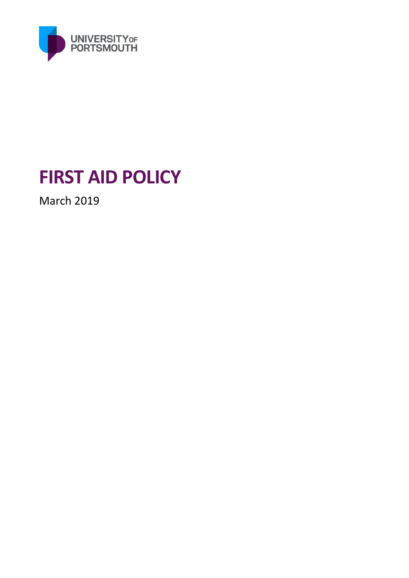

# **FIRST AID POLICY**

March 2019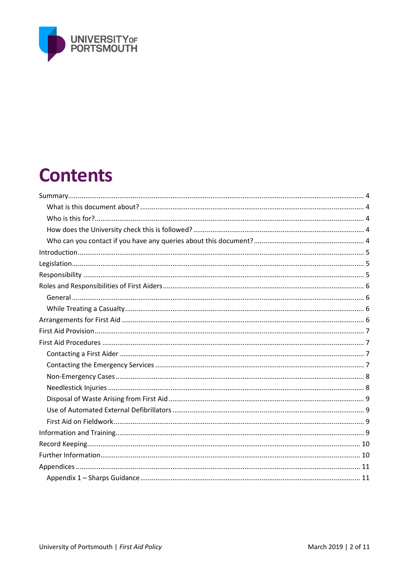

# **Contents**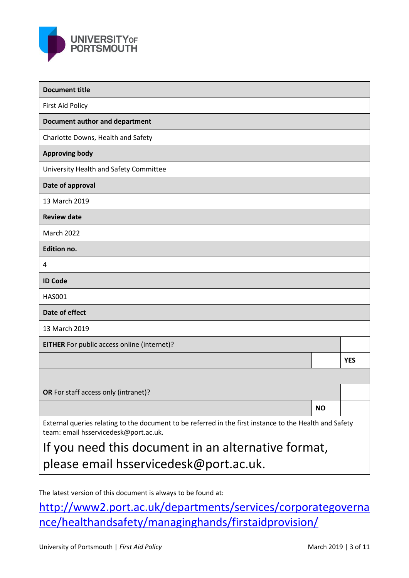

| <b>Document title</b>                                                                                                                            |           |            |  |
|--------------------------------------------------------------------------------------------------------------------------------------------------|-----------|------------|--|
| <b>First Aid Policy</b>                                                                                                                          |           |            |  |
| <b>Document author and department</b>                                                                                                            |           |            |  |
| Charlotte Downs, Health and Safety                                                                                                               |           |            |  |
| <b>Approving body</b>                                                                                                                            |           |            |  |
| University Health and Safety Committee                                                                                                           |           |            |  |
| Date of approval                                                                                                                                 |           |            |  |
| 13 March 2019                                                                                                                                    |           |            |  |
| <b>Review date</b>                                                                                                                               |           |            |  |
| <b>March 2022</b>                                                                                                                                |           |            |  |
| <b>Edition no.</b>                                                                                                                               |           |            |  |
| 4                                                                                                                                                |           |            |  |
| <b>ID Code</b>                                                                                                                                   |           |            |  |
| <b>HAS001</b>                                                                                                                                    |           |            |  |
| Date of effect                                                                                                                                   |           |            |  |
| 13 March 2019                                                                                                                                    |           |            |  |
| <b>EITHER</b> For public access online (internet)?                                                                                               |           |            |  |
|                                                                                                                                                  |           | <b>YES</b> |  |
|                                                                                                                                                  |           |            |  |
| OR For staff access only (intranet)?                                                                                                             |           |            |  |
|                                                                                                                                                  | <b>NO</b> |            |  |
| External queries relating to the document to be referred in the first instance to the Health and Safety<br>team: email hsservicedesk@port.ac.uk. |           |            |  |
| If you need this document in an alternative format,                                                                                              |           |            |  |

please email hsservicedesk@port.ac.uk.

The latest version of this document is always to be found at:

http://www2.port.ac.uk/departments/services/corporategoverna nce/healthandsafety/managinghands/firstaidprovision/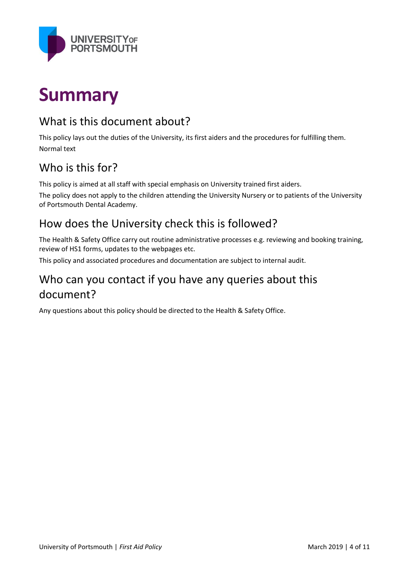

# **Summary**

### What is this document about?

This policy lays out the duties of the University, its first aiders and the procedures for fulfilling them. Normal text

### Who is this for?

This policy is aimed at all staff with special emphasis on University trained first aiders.

The policy does not apply to the children attending the University Nursery or to patients of the University of Portsmouth Dental Academy.

### How does the University check this is followed?

The Health & Safety Office carry out routine administrative processes e.g. reviewing and booking training, review of HS1 forms, updates to the webpages etc.

This policy and associated procedures and documentation are subject to internal audit.

### Who can you contact if you have any queries about this document?

Any questions about this policy should be directed to the Health & Safety Office.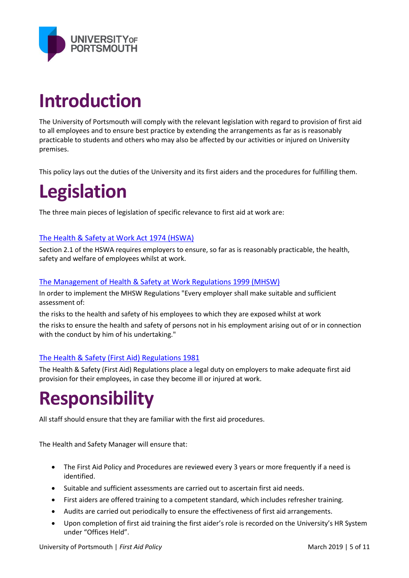

# **Introduction**

The University of Portsmouth will comply with the relevant legislation with regard to provision of first aid to all employees and to ensure best practice by extending the arrangements as far as is reasonably practicable to students and others who may also be affected by our activities or injured on University premises.

This policy lays out the duties of the University and its first aiders and the procedures for fulfilling them.

# **Legislation**

The three main pieces of legislation of specific relevance to first aid at work are:

#### [The Health & Safety at Work Act 1974 \(HSWA\)](http://www.legislation.gov.uk/ukpga/1974/37/contents)

Section 2.1 of the HSWA requires employers to ensure, so far as is reasonably practicable, the health, safety and welfare of employees whilst at work.

#### [The Management of Health & Safety at Work Regulations 1999 \(MHSW\)](http://www.legislation.gov.uk/uksi/1999/3242/contents/madehttp:/www.legislation.gov.uk/uksi/1999/3242/contents/made)

In order to implement the MHSW Regulations "Every employer shall make suitable and sufficient assessment of:

the risks to the health and safety of his employees to which they are exposed whilst at work

the risks to ensure the health and safety of persons not in his employment arising out of or in connection with the conduct by him of his undertaking."

#### [The Health & Safety \(First Aid\) Regulations 1981](http://www.legislation.gov.uk/uksi/1981/917/contents/made)

The Health & Safety (First Aid) Regulations place a legal duty on employers to make adequate first aid provision for their employees, in case they become ill or injured at work.

### **Responsibility**

All staff should ensure that they are familiar with the first aid procedures.

The Health and Safety Manager will ensure that:

- The First Aid Policy and Procedures are reviewed every 3 years or more frequently if a need is identified.
- Suitable and sufficient assessments are carried out to ascertain first aid needs.
- First aiders are offered training to a competent standard, which includes refresher training.
- Audits are carried out periodically to ensure the effectiveness of first aid arrangements.
- Upon completion of first aid training the first aider's role is recorded on the University's HR System under "Offices Held".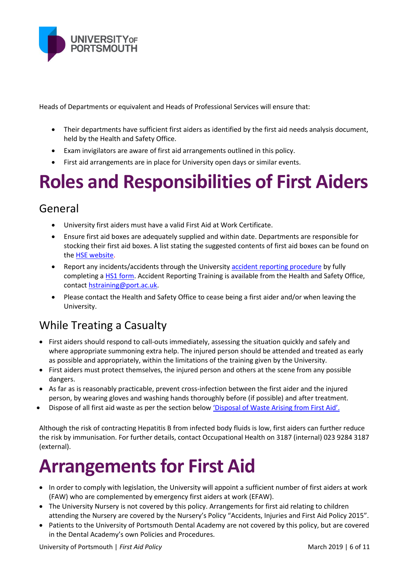

Heads of Departments or equivalent and Heads of Professional Services will ensure that:

- Their departments have sufficient first aiders as identified by the first aid needs analysis document, held by the Health and Safety Office.
- Exam invigilators are aware of first aid arrangements outlined in this policy.
- First aid arrangements are in place for University open days or similar events.

# **Roles and Responsibilities of First Aiders**

#### General

- University first aiders must have a valid First Aid at Work Certificate.
- Ensure first aid boxes are adequately supplied and within date. Departments are responsible for stocking their first aid boxes. A list stating the suggested contents of first aid boxes can be found on th[e HSE website.](http://www.hse.gov.uk/pubns/priced/l74.pdf)
- Report any incidents/accidents through the University [accident reporting procedure](http://www2.port.ac.uk/departments/services/corporategovernance/healthandsafety/managinghands/accidentreporting/) by fully completing a **HS1 form.** Accident Reporting Training is available from the Health and Safety Office, contact hstraining@port.ac.uk.
- Please contact the Health and Safety Office to cease being a first aider and/or when leaving the University.

### While Treating a Casualty

- First aiders should respond to call-outs immediately, assessing the situation quickly and safely and where appropriate summoning extra help. The injured person should be attended and treated as early as possible and appropriately, within the limitations of the training given by the University.
- First aiders must protect themselves, the injured person and others at the scene from any possible dangers.
- As far as is reasonably practicable, prevent cross-infection between the first aider and the injured person, by wearing gloves and washing hands thoroughly before (if possible) and after treatment.
- Dispose of all first aid waste as per the section below 'Disposal of Waste Arising from First Aid'.

Although the risk of contracting Hepatitis B from infected body fluids is low, first aiders can further reduce the risk by immunisation. For further details, contact Occupational Health on 3187 (internal) 023 9284 3187 (external).

# **Arrangements for First Aid**

- In order to comply with legislation, the University will appoint a sufficient number of first aiders at work (FAW) who are complemented by emergency first aiders at work (EFAW).
- The University Nursery is not covered by this policy. Arrangements for first aid relating to children attending the Nursery are covered by the Nursery's Policy "Accidents, Injuries and First Aid Policy 2015".
- Patients to the University of Portsmouth Dental Academy are not covered by this policy, but are covered in the Dental Academy's own Policies and Procedures.

University of Portsmouth | *First Aid Policy* March 2019 | 6 of 11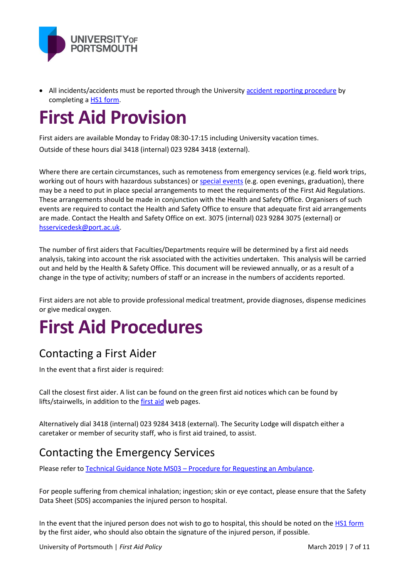

• All incidents/accidents must be reported through the Universit[y accident reporting procedure](http://www2.port.ac.uk/departments/services/corporategovernance/healthandsafety/managinghands/accidentreporting/) by completing [a HS1 form.](http://www2.port.ac.uk/departments/services/corporategovernance/healthandsafety/managinghands/accidentreporting/)

# **First Aid Provision**

First aiders are available Monday to Friday 08:30-17:15 including University vacation times. Outside of these hours dial 3418 (internal) 023 9284 3418 (external).

Where there are certain circumstances, such as remoteness from emergency services (e.g. field work trips, working out of hours with hazardous substances) or [special events](http://www2.port.ac.uk/departments/services/corporategovernance/healthandsafety/activitiesevents/) (e.g. open evenings, graduation), there may be a need to put in place special arrangements to meet the requirements of the First Aid Regulations. These arrangements should be made in conjunction with the Health and Safety Office. Organisers of such events are required to contact the Health and Safety Office to ensure that adequate first aid arrangements are made. Contact the Health and Safety Office on ext. 3075 (internal) 023 9284 3075 (external) or hsservicedesk@port.ac.uk.

The number of first aiders that Faculties/Departments require will be determined by a first aid needs analysis, taking into account the risk associated with the activities undertaken. This analysis will be carried out and held by the Health & Safety Office. This document will be reviewed annually, or as a result of a change in the type of activity; numbers of staff or an increase in the numbers of accidents reported.

First aiders are not able to provide professional medical treatment, provide diagnoses, dispense medicines or give medical oxygen.

# **First Aid Procedures**

### Contacting a First Aider

In the event that a first aider is required:

Call the closest first aider. A list can be found on the green first aid notices which can be found by lifts/stairwells, in addition to the [first aid](http://www2.port.ac.uk/departments/services/corporategovernance/healthandsafety/managinghands/firstaidprovision/filetodownload,190053,en.pdf) web pages.

Alternatively dial 3418 (internal) 023 9284 3418 (external). The Security Lodge will dispatch either a caretaker or member of security staff, who is first aid trained, to assist.

### Contacting the Emergency Services

Please refer to Technical Guidance Note MS03 – [Procedure for Requesting an Ambulance.](http://www2.port.ac.uk/departments/services/corporategovernance/healthandsafety/managinghands/firstaidprovision/filetodownload,168375,en.pdf)

For people suffering from chemical inhalation; ingestion; skin or eye contact, please ensure that the Safety Data Sheet (SDS) accompanies the injured person to hospital.

In the event that the injured person does not wish to go to hospital, this should be noted on th[e HS1 form](http://www2.port.ac.uk/departments/services/corporategovernance/healthandsafety/managinghands/accidentreporting/) by the first aider, who should also obtain the signature of the injured person, if possible.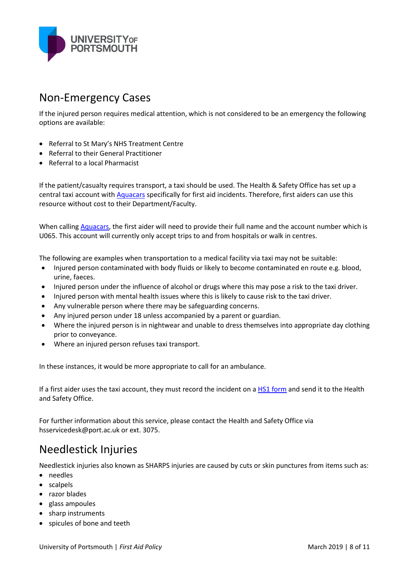

#### Non-Emergency Cases

If the injured person requires medical attention, which is not considered to be an emergency the following options are available:

- Referral to St Mary's NHS Treatment Centre
- Referral to their General Practitioner
- Referral to a local Pharmacist

If the patient/casualty requires transport, a taxi should be used. The Health & Safety Office has set up a central taxi account with [Aquacars](http://www.aquacars.co.uk/) specifically for first aid incidents. Therefore, first aiders can use this resource without cost to their Department/Faculty.

When calling [Aquacars,](http://www.aquacars.co.uk/) the first aider will need to provide their full name and the account number which is U065. This account will currently only accept trips to and from hospitals or walk in centres.

The following are examples when transportation to a medical facility via taxi may not be suitable:

- Injured person contaminated with body fluids or likely to become contaminated en route e.g. blood, urine, faeces.
- Injured person under the influence of alcohol or drugs where this may pose a risk to the taxi driver.
- Injured person with mental health issues where this is likely to cause risk to the taxi driver.
- Any vulnerable person where there may be safeguarding concerns.
- Any injured person under 18 unless accompanied by a parent or guardian.
- Where the injured person is in nightwear and unable to dress themselves into appropriate day clothing prior to conveyance.
- Where an injured person refuses taxi transport.

In these instances, it would be more appropriate to call for an ambulance.

If a first aider uses the taxi account, they must record the incident on [a HS1 form](http://www2.port.ac.uk/departments/services/corporategovernance/healthandsafety/managinghands/accidentreporting/) and send it to the Health and Safety Office.

For further information about this service, please contact the Health and Safety Office via hsservicedesk@port.ac.uk or ext. 3075.

### Needlestick Injuries

Needlestick injuries also known as SHARPS injuries are caused by cuts or skin punctures from items such as:

- needles
- scalpels
- razor blades
- glass ampoules
- sharp instruments
- spicules of bone and teeth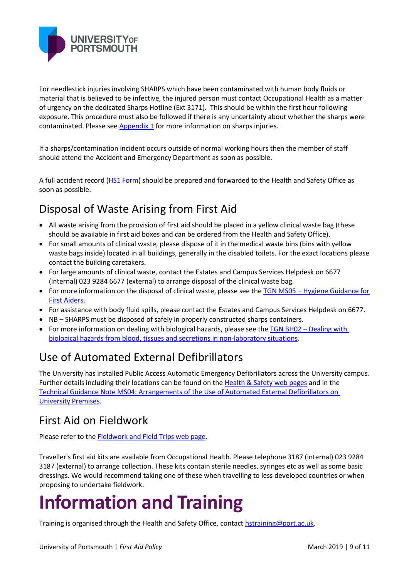

For needlestick injuries involving SHARPS which have been contaminated with human body fluids or material that is believed to be infective, the injured person must contact Occupational Health as a matter of urgency on the dedicated Sharps Hotline (Ext 3171). This should be within the first hour following exposure. This procedure must also be followed if there is any uncertainty about whether the sharps were contaminated. Please see  $\Delta$ ppendix  $1$  for more information on sharps injuries.

If a sharps/contamination incident occurs outside of normal working hours then the member of staff should attend the Accident and Emergency Department as soon as possible.

A full accident record [\(HS1 Form\)](http://www2.port.ac.uk/departments/services/corporategovernance/healthandsafety/managinghands/accidentreporting/) should be prepared and forwarded to the Health and Safety Office as soon as possible.

### Disposal of Waste Arising from First Aid

- All waste arising from the provision of first aid should be placed in a yellow clinical waste bag (these should be available in first aid boxes and can be ordered from the Health and Safety Office).
- For small amounts of clinical waste, please dispose of it in the medical waste bins (bins with yellow waste bags inside) located in all buildings, generally in the disabled toilets. For the exact locations please contact the building caretakers.
- For large amounts of clinical waste, contact the Estates and Campus Services Helpdesk on 6677 (internal) 023 9284 6677 (external) to arrange disposal of the clinical waste bag.
- For more information on the disposal of clinical waste, please see the TGN MS05 Hygiene Guidance for [First Aiders.](http://www2.port.ac.uk/departments/services/corporategovernance/healthandsafety/managinghands/firstaidprovision/filetodownload,190053,en.pdf)
- For assistance with body fluid spills, please contact the Estates and Campus Services Helpdesk on 6677.
- NB SHARPS must be disposed of safely in properly constructed sharps containers.
- For more information on dealing with biological hazards, please see the TGN BH02 Dealing with [biological hazards from blood, tissues and secretions in non-laboratory situations.](http://www2.port.ac.uk/departments/services/corporategovernance/healthandsafety/chemicalbiological/microbiologicalsafety/)

### Use of Automated External Defibrillators

The University has installed Public Access Automatic Emergency Defibrillators across the University campus. Further details including their locations can be found on the [Health & Safety](http://www2.port.ac.uk/departments/services/corporategovernance/healthandsafety/managinghands/automatedexternaldefibrillators/filetodownload,186768,en.pdf) web pages and in the [Technical Guidance Note MS04: Arrangements of the Use of Automated External Defibrillators on](http://www2.port.ac.uk/departments/services/corporategovernance/healthandsafety/managinghands/automatedexternaldefibrillators/filetodownload,186768,en.pdf)  [University Premises.](http://www2.port.ac.uk/departments/services/corporategovernance/healthandsafety/managinghands/automatedexternaldefibrillators/filetodownload,186768,en.pdf)

### First Aid on Fieldwork

Please refer to the [Fieldwork and Field Trips web page.](http://www2.port.ac.uk/departments/services/corporategovernance/healthandsafety/activitiesevents/fieldwork/)

Traveller's first aid kits are available from Occupational Health. Please telephone 3187 (internal) 023 9284 3187 (external) to arrange collection. These kits contain sterile needles, syringes etc as well as some basic dressings. We would recommend taking one of these when travelling to less developed countries or when proposing to undertake fieldwork.

# **Information and Training**

Training is organised through the Health and Safety Office, contact hstraining@port.ac.uk.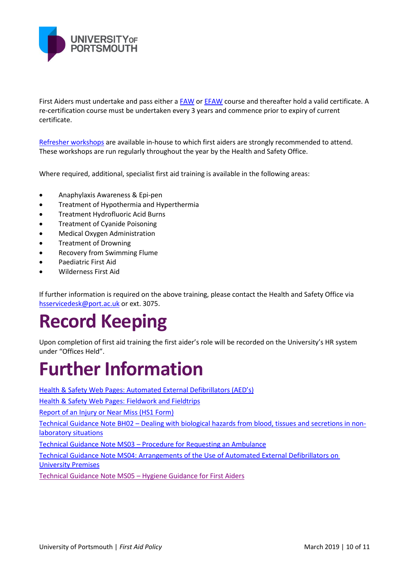

First Aiders must undertake and pass either a **FAW** or **EFAW** course and thereafter hold a valid certificate. A re-certification course must be undertaken every 3 years and commence prior to expiry of current certificate.

Refresher workshops are available in-house to which first aiders are strongly recommended to attend. These workshops are run regularly throughout the year by the Health and Safety Office.

Where required, additional, specialist first aid training is available in the following areas:

- Anaphylaxis Awareness & Epi-pen
- **•** Treatment of Hypothermia and Hyperthermia
- **•** Treatment Hydrofluoric Acid Burns
- Treatment of Cyanide Poisoning
- Medical Oxygen Administration
- Treatment of Drowning
- Recovery from Swimming Flume
- Paediatric First Aid
- Wilderness First Aid

If further information is required on the above training, please contact the Health and Safety Office via [hsservicedesk@port.ac.uk](mailto:hsservicedesk@port.ac.uk) or ext. 3075.

# **Record Keeping**

Upon completion of first aid training the first aider's role will be recorded on the University's HR system under "Offices Held".

### **Further Information**

Health & Safety Web P[ages: Automated External Defibrillators \(AED's\)](http://www2.port.ac.uk/departments/services/corporategovernance/healthandsafety/managinghands/automatedexternaldefibrillators/filetodownload,186768,en.pdf)

[Health & Safety Web Pages: Fieldwork and Fieldtrips](http://www2.port.ac.uk/departments/services/corporategovernance/healthandsafety/activitiesevents/fieldwork/)

[Report of an Injury or Near Miss \(HS1 Form\)](http://www2.port.ac.uk/departments/services/corporategovernance/healthandsafety/managinghands/accidentreporting/)

Technical Guidance Note BH02 – [Dealing with biological hazards from blood, tissues](http://www2.port.ac.uk/departments/services/corporategovernance/healthandsafety/chemicalbiological/microbiologicalsafety/) and secretions in non[laboratory situations](http://www2.port.ac.uk/departments/services/corporategovernance/healthandsafety/chemicalbiological/microbiologicalsafety/)

Technical Guidance Note MS03 – Procedure for Requesting an Ambulance

[Technical Guidance Note MS04: Arrangements of the Use of Automated External Defibrillators on](http://www2.port.ac.uk/departments/services/corporategovernance/healthandsafety/managinghands/automatedexternaldefibrillators/filetodownload,186768,en.pdf)  [University Premises](http://www2.port.ac.uk/departments/services/corporategovernance/healthandsafety/managinghands/automatedexternaldefibrillators/filetodownload,186768,en.pdf)

Technical Guidance Note MS05 – [Hygiene Guidance for First Aiders](http://www2.port.ac.uk/departments/services/corporategovernance/healthandsafety/managinghands/firstaidprovision/filetodownload,190053,en.pdf)